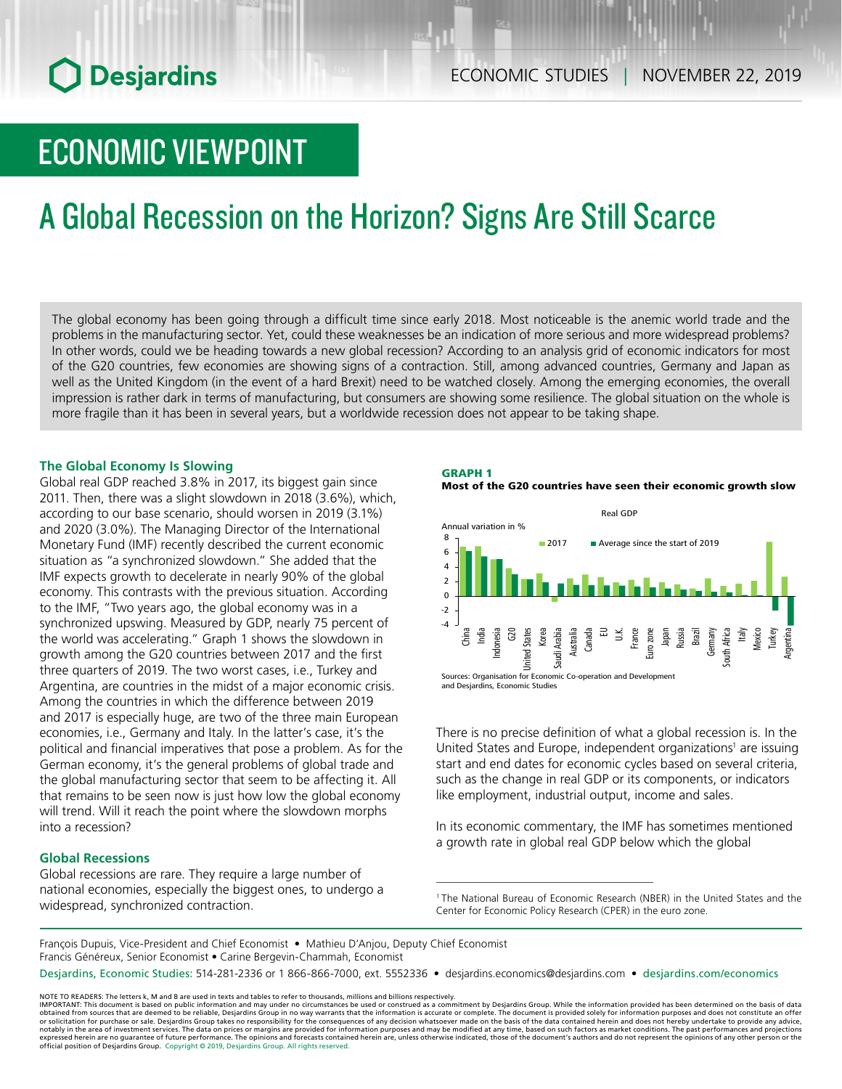# **O** Desjardins

## ECONOMIC VIEWPOINT

# A Global Recession on the Horizon? Signs Are Still Scarce

The global economy has been going through a difficult time since early 2018. Most noticeable is the anemic world trade and the problems in the manufacturing sector. Yet, could these weaknesses be an indication of more serious and more widespread problems? In other words, could we be heading towards a new global recession? According to an analysis grid of economic indicators for most of the G20 countries, few economies are showing signs of a contraction. Still, among advanced countries, Germany and Japan as well as the United Kingdom (in the event of a hard Brexit) need to be watched closely. Among the emerging economies, the overall impression is rather dark in terms of manufacturing, but consumers are showing some resilience. The global situation on the whole is more fragile than it has been in several years, but a worldwide recession does not appear to be taking shape.

#### **The Global Economy Is Slowing**

Global real GDP reached 3.8% in 2017, its biggest gain since 2011. Then, there was a slight slowdown in 2018 (3.6%), which, according to our base scenario, should worsen in 2019 (3.1%) and 2020 (3.0%). The Managing Director of the International Monetary Fund (IMF) recently described the current economic situation as "a synchronized slowdown." She added that the IMF expects growth to decelerate in nearly 90% of the global economy. This contrasts with the previous situation. According to the IMF, "Two years ago, the global economy was in a synchronized upswing. Measured by GDP, nearly 75 percent of the world was accelerating." Graph 1 shows the slowdown in growth among the G20 countries between 2017 and the first three quarters of 2019. The two worst cases, i.e., Turkey and Argentina, are countries in the midst of a major economic crisis. Among the countries in which the difference between 2019 and 2017 is especially huge, are two of the three main European economies, i.e., Germany and Italy. In the latter's case, it's the political and financial imperatives that pose a problem. As for the German economy, it's the general problems of global trade and the global manufacturing sector that seem to be affecting it. All that remains to be seen now is just how low the global economy will trend. Will it reach the point where the slowdown morphs into a recession?

#### **Global Recessions**

Global recessions are rare. They require a large number of national economies, especially the biggest ones, to undergo a widespread, synchronized contraction.

#### GRAPH 1

Most of the G20 countries have seen their economic growth slow



There is no precise definition of what a global recession is. In the United States and Europe, independent organizations<sup>1</sup> are issuing start and end dates for economic cycles based on several criteria, such as the change in real GDP or its components, or indicators like employment, industrial output, income and sales.

In its economic commentary, the IMF has sometimes mentioned a growth rate in global real GDP below which the global

1 The National Bureau of Economic Research (NBER) in the United States and the Center for Economic Policy Research (CPER) in the euro zone.

François Dupuis, Vice-President and Chief Economist • Mathieu D'Anjou, Deputy Chief Economist Francis Généreux, Senior Economist • Carine Bergevin-Chammah, Economist Desjardins, Economic Studies: 514-281-2336 or 1 866-866-7000, ext. 5552336 • desjardins.economics@desjardins.com • [desjardins.com/economics](http://desjardins.com/economics)

NOTE TO READERS: The letters k, M and B are used in texts and tables to refer to thousands, millions and billions respectively.

IMPORTANT: This document is based on public information and may under no circumstances be used or construed as a commitment by Desjardins Group. While the information provided has been determined on the basis of data<br>obtai or solicitation for purchase or sale. Desjardins Group takes no responsibility for the consequences of any decision whatsoever made on the basis of the data contained herein and does not hereby undertake to provide any adv official position of Desjardins Group. Copyright © 2019, Desjardins Group. All rights reserved.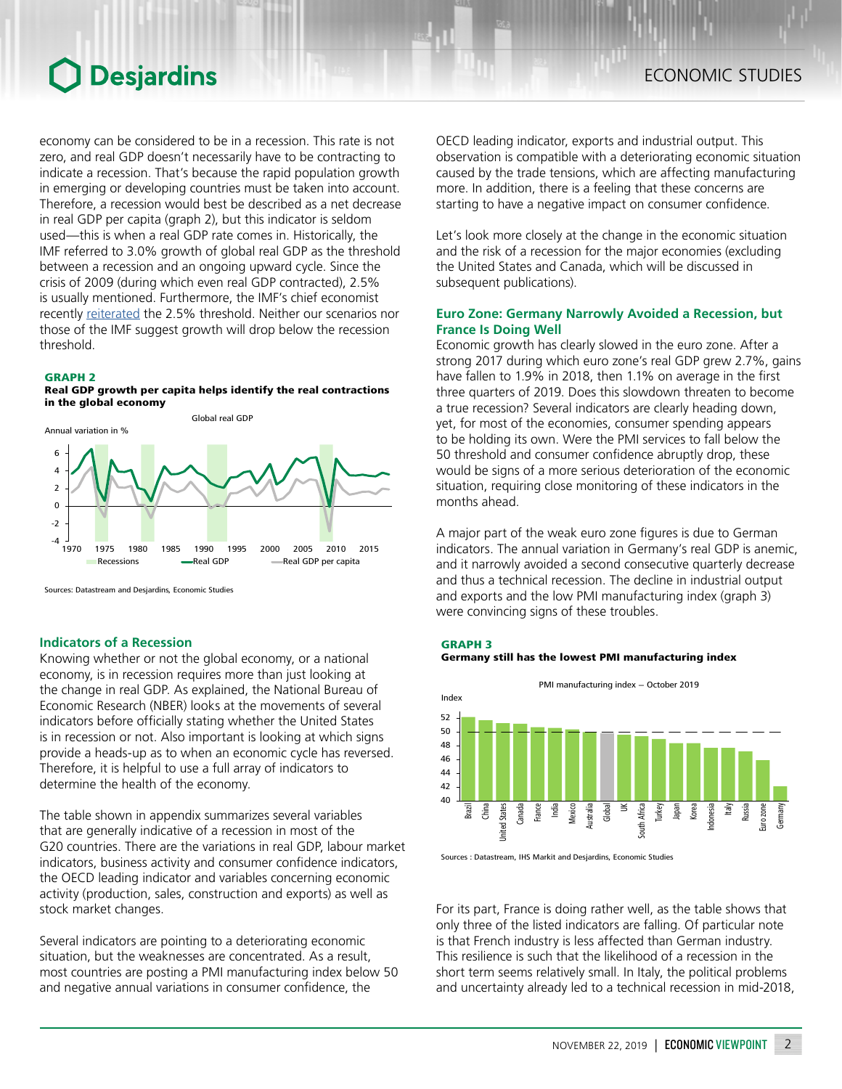## Desjardins

economy can be considered to be in a recession. This rate is not zero, and real GDP doesn't necessarily have to be contracting to indicate a recession. That's because the rapid population growth in emerging or developing countries must be taken into account. Therefore, a recession would best be described as a net decrease in real GDP per capita (graph 2), but this indicator is seldom used—this is when a real GDP rate comes in. Historically, the IMF referred to 3.0% growth of global real GDP as the threshold between a recession and an ongoing upward cycle. Since the crisis of 2009 (during which even real GDP contracted), 2.5% is usually mentioned. Furthermore, the IMF's chief economist recently [reiterated](https://www.imf.org/en/News/Articles/2019/10/16/tr101519-weo-world-economic-outlook-press-conference-transcript) the 2.5% threshold. Neither our scenarios nor those of the IMF suggest growth will drop below the recession threshold.

#### GRAPH 2

#### Real GDP growth per capita helps identify the real contractions in the global economy



Sources: Datastream and Desjardins, Economic Studies

#### **Indicators of a Recession**

Knowing whether or not the global economy, or a national economy, is in recession requires more than just looking at the change in real GDP. As explained, the National Bureau of Economic Research (NBER) looks at the movements of several indicators before officially stating whether the United States is in recession or not. Also important is looking at which signs provide a heads-up as to when an economic cycle has reversed. Therefore, it is helpful to use a full array of indicators to determine the health of the economy.

The table shown in appendix summarizes several variables that are generally indicative of a recession in most of the G20 countries. There are the variations in real GDP, labour market indicators, business activity and consumer confidence indicators, the OECD leading indicator and variables concerning economic activity (production, sales, construction and exports) as well as stock market changes.

Several indicators are pointing to a deteriorating economic situation, but the weaknesses are concentrated. As a result, most countries are posting a PMI manufacturing index below 50 and negative annual variations in consumer confidence, the

OECD leading indicator, exports and industrial output. This observation is compatible with a deteriorating economic situation caused by the trade tensions, which are affecting manufacturing more. In addition, there is a feeling that these concerns are starting to have a negative impact on consumer confidence.

Let's look more closely at the change in the economic situation and the risk of a recession for the major economies (excluding the United States and Canada, which will be discussed in subsequent publications).

#### **Euro Zone: Germany Narrowly Avoided a Recession, but France Is Doing Well**

Economic growth has clearly slowed in the euro zone. After a strong 2017 during which euro zone's real GDP grew 2.7%, gains have fallen to 1.9% in 2018, then 1.1% on average in the first three quarters of 2019. Does this slowdown threaten to become a true recession? Several indicators are clearly heading down, yet, for most of the economies, consumer spending appears to be holding its own. Were the PMI services to fall below the 50 threshold and consumer confidence abruptly drop, these would be signs of a more serious deterioration of the economic situation, requiring close monitoring of these indicators in the months ahead.

A major part of the weak euro zone figures is due to German indicators. The annual variation in Germany's real GDP is anemic, and it narrowly avoided a second consecutive quarterly decrease and thus a technical recession. The decline in industrial output and exports and the low PMI manufacturing index (graph 3) were convincing signs of these troubles.



PMI manufacturing index - October 2019



Sources : Datastream, IHS Markit and Desjardins, Economic Studies

For its part, France is doing rather well, as the table shows that only three of the listed indicators are falling. Of particular note is that French industry is less affected than German industry. This resilience is such that the likelihood of a recession in the short term seems relatively small. In Italy, the political problems and uncertainty already led to a technical recession in mid-2018,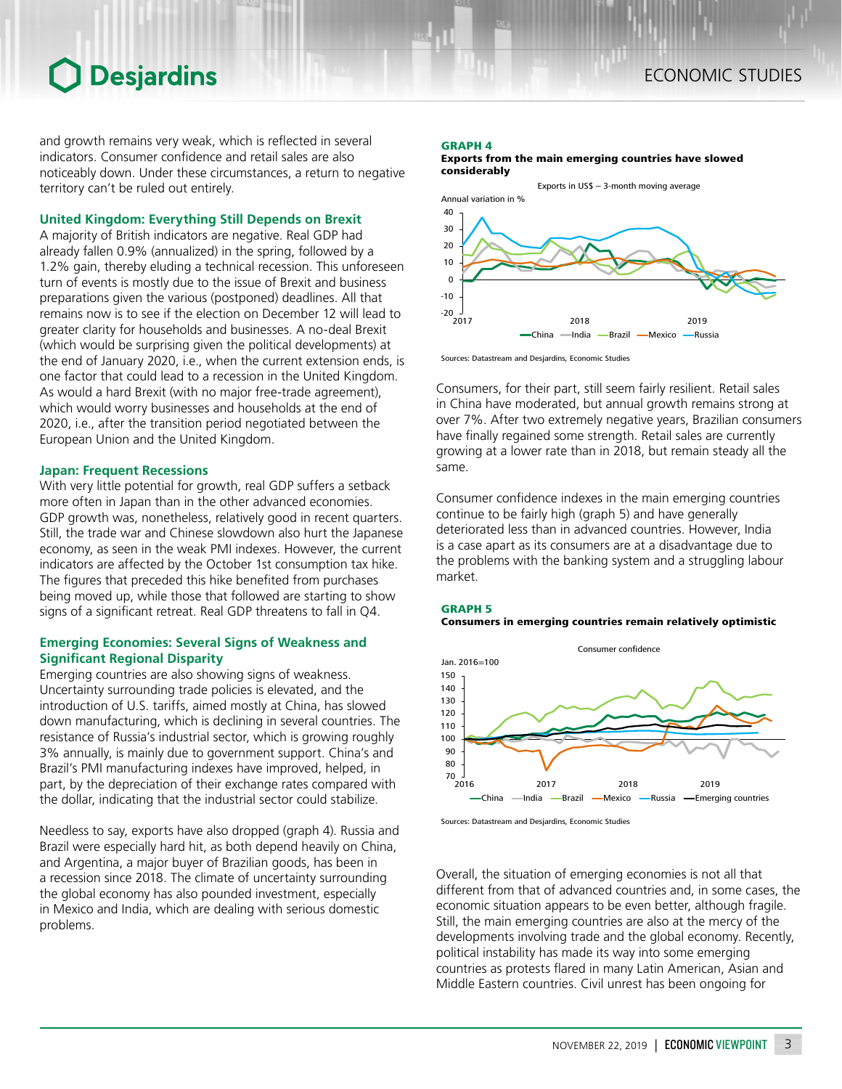### **O** Desjardins

and growth remains very weak, which is reflected in several indicators. Consumer confidence and retail sales are also noticeably down. Under these circumstances, a return to negative territory can't be ruled out entirely.

#### **United Kingdom: Everything Still Depends on Brexit**

A majority of British indicators are negative. Real GDP had already fallen 0.9% (annualized) in the spring, followed by a 1.2% gain, thereby eluding a technical recession. This unforeseen turn of events is mostly due to the issue of Brexit and business preparations given the various (postponed) deadlines. All that remains now is to see if the election on December 12 will lead to greater clarity for households and businesses. A no-deal Brexit (which would be surprising given the political developments) at the end of January 2020, i.e., when the current extension ends, is one factor that could lead to a recession in the United Kingdom. As would a hard Brexit (with no major free-trade agreement), which would worry businesses and households at the end of 2020, i.e., after the transition period negotiated between the European Union and the United Kingdom.

#### **Japan: Frequent Recessions**

With very little potential for growth, real GDP suffers a setback more often in Japan than in the other advanced economies. GDP growth was, nonetheless, relatively good in recent quarters. Still, the trade war and Chinese slowdown also hurt the Japanese economy, as seen in the weak PMI indexes. However, the current indicators are affected by the October 1st consumption tax hike. The figures that preceded this hike benefited from purchases being moved up, while those that followed are starting to show signs of a significant retreat. Real GDP threatens to fall in Q4.

#### **Emerging Economies: Several Signs of Weakness and Significant Regional Disparity**

Emerging countries are also showing signs of weakness. Uncertainty surrounding trade policies is elevated, and the introduction of U.S. tariffs, aimed mostly at China, has slowed down manufacturing, which is declining in several countries. The resistance of Russia's industrial sector, which is growing roughly 3% annually, is mainly due to government support. China's and Brazil's PMI manufacturing indexes have improved, helped, in part, by the depreciation of their exchange rates compared with the dollar, indicating that the industrial sector could stabilize.

Needless to say, exports have also dropped (graph 4). Russia and Brazil were especially hard hit, as both depend heavily on China, and Argentina, a major buyer of Brazilian goods, has been in a recession since 2018. The climate of uncertainty surrounding the global economy has also pounded investment, especially in Mexico and India, which are dealing with serious domestic problems.

#### GRAPH 4

Exports from the main emerging countries have slowed considerably



Sources: Datastream and Desjardins, Economic Studies

Consumers, for their part, still seem fairly resilient. Retail sales in China have moderated, but annual growth remains strong at over 7%. After two extremely negative years, Brazilian consumers have finally regained some strength. Retail sales are currently growing at a lower rate than in 2018, but remain steady all the same.

Consumer confidence indexes in the main emerging countries continue to be fairly high (graph 5) and have generally deteriorated less than in advanced countries. However, India is a case apart as its consumers are at a disadvantage due to the problems with the banking system and a struggling labour market.





Sources: Datastream and Desjardins, Economic Studies

Overall, the situation of emerging economies is not all that different from that of advanced countries and, in some cases, the economic situation appears to be even better, although fragile. Still, the main emerging countries are also at the mercy of the developments involving trade and the global economy. Recently, political instability has made its way into some emerging countries as protests flared in many Latin American, Asian and Middle Eastern countries. Civil unrest has been ongoing for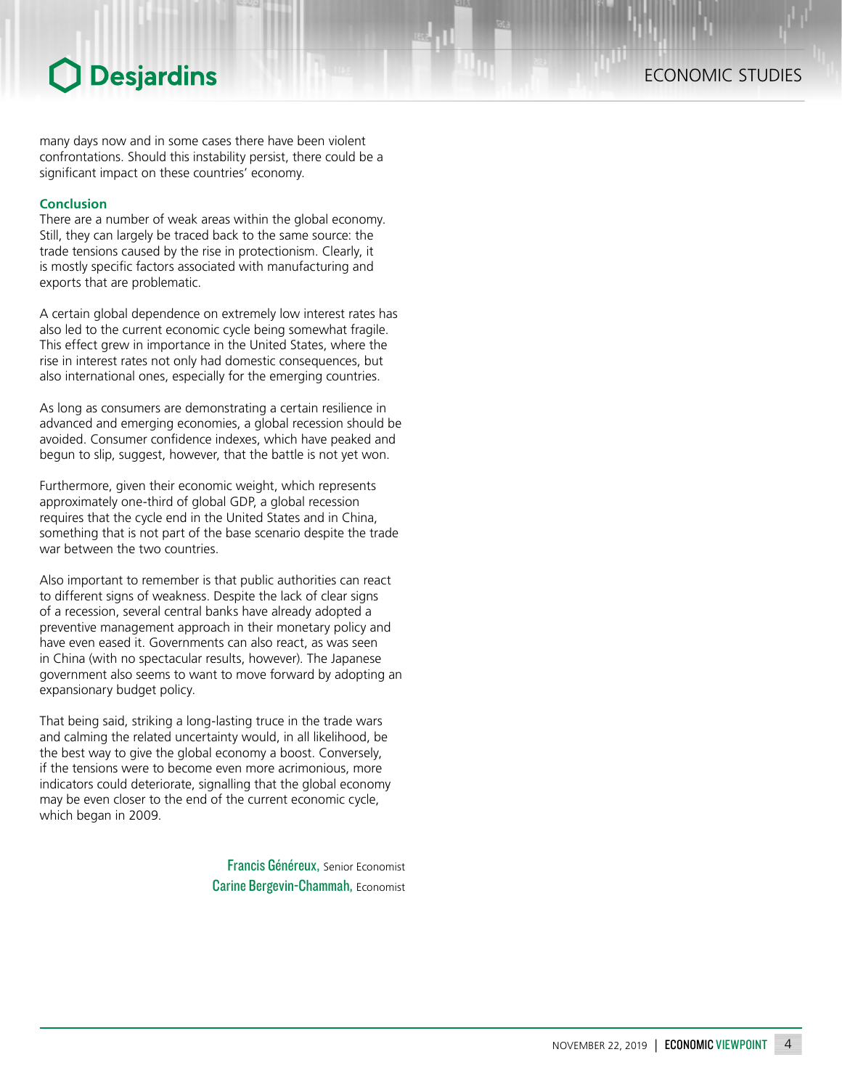### **O** Desjardins

many days now and in some cases there have been violent confrontations. Should this instability persist, there could be a significant impact on these countries' economy.

#### **Conclusion**

There are a number of weak areas within the global economy. Still, they can largely be traced back to the same source: the trade tensions caused by the rise in protectionism. Clearly, it is mostly specific factors associated with manufacturing and exports that are problematic.

A certain global dependence on extremely low interest rates has also led to the current economic cycle being somewhat fragile. This effect grew in importance in the United States, where the rise in interest rates not only had domestic consequences, but also international ones, especially for the emerging countries.

As long as consumers are demonstrating a certain resilience in advanced and emerging economies, a global recession should be avoided. Consumer confidence indexes, which have peaked and begun to slip, suggest, however, that the battle is not yet won.

Furthermore, given their economic weight, which represents approximately one-third of global GDP, a global recession requires that the cycle end in the United States and in China, something that is not part of the base scenario despite the trade war between the two countries.

Also important to remember is that public authorities can react to different signs of weakness. Despite the lack of clear signs of a recession, several central banks have already adopted a preventive management approach in their monetary policy and have even eased it. Governments can also react, as was seen in China (with no spectacular results, however). The Japanese government also seems to want to move forward by adopting an expansionary budget policy.

That being said, striking a long-lasting truce in the trade wars and calming the related uncertainty would, in all likelihood, be the best way to give the global economy a boost. Conversely, if the tensions were to become even more acrimonious, more indicators could deteriorate, signalling that the global economy may be even closer to the end of the current economic cycle, which began in 2009.

> Francis Généreux, Senior Economist Carine Bergevin-Chammah, Economist